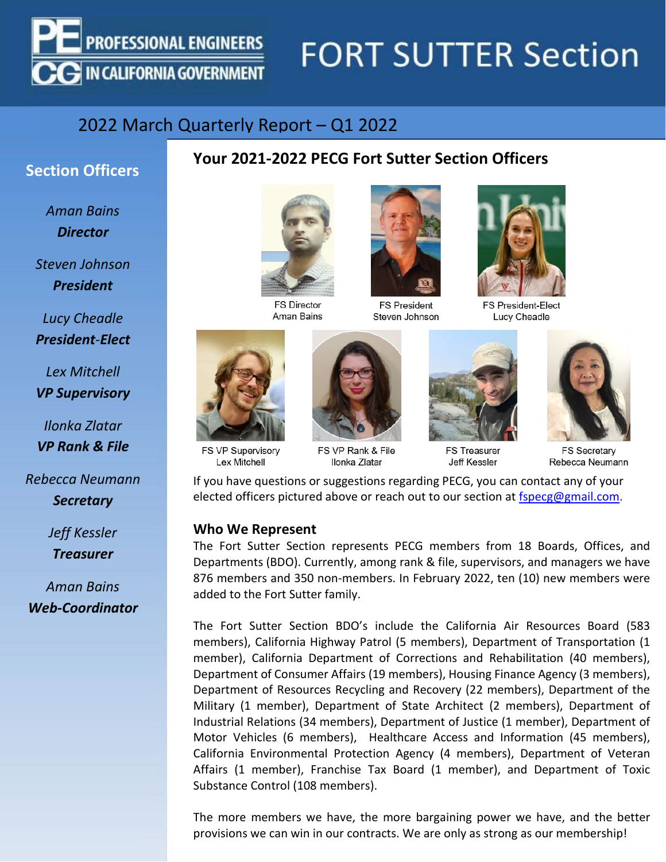

# **FORT SUTTER Section**

### 2022 March Quarterly Report – Q1 2022

# **Section Officers Your 2021-2022 PECG Fort Sutter Section Officers**

*Aman Bains Director*

*Steven Johnson President*

*Lucy Cheadle President-Elect*

*Lex Mitchell VP Supervisory*

*Ilonka Zlatar VP Rank & File*

*Rebecca Neumann Secretary*

> *Jeff Kessler Treasurer*

*Aman Bains Web-Coordinator*

**FS Director** Aman Bains



FS VP Supervisory Lex Mitchell



FS VP Rank & File Ilonka Zlatar



**FS President** Steven Johnson



**FS Treasurer Jeff Kessler** 



FS President-Elect Lucy Cheadle



**FS Secretary** Rebecca Neumann

If you have questions or suggestions regarding PECG, you can contact any of your elected officers pictured above or reach out to our section at [fspecg@gmail.com.](mailto:fspecg@gmail.com)

#### **Who We Represent**

The Fort Sutter Section represents PECG members from 18 Boards, Offices, and Departments (BDO). Currently, among rank & file, supervisors, and managers we have 876 members and 350 non-members. In February 2022, ten (10) new members were added to the Fort Sutter family.

The Fort Sutter Section BDO's include the California Air Resources Board (583 members), California Highway Patrol (5 members), Department of Transportation (1 member), California Department of Corrections and Rehabilitation (40 members), Department of Consumer Affairs (19 members), Housing Finance Agency (3 members), Department of Resources Recycling and Recovery (22 members), Department of the Military (1 member), Department of State Architect (2 members), Department of Industrial Relations (34 members), Department of Justice (1 member), Department of Motor Vehicles (6 members), Healthcare Access and Information (45 members), California Environmental Protection Agency (4 members), Department of Veteran Affairs (1 member), Franchise Tax Board (1 member), and Department of Toxic Substance Control (108 members).

The more members we have, the more bargaining power we have, and the better provisions we can win in our contracts. We are only as strong as our membership!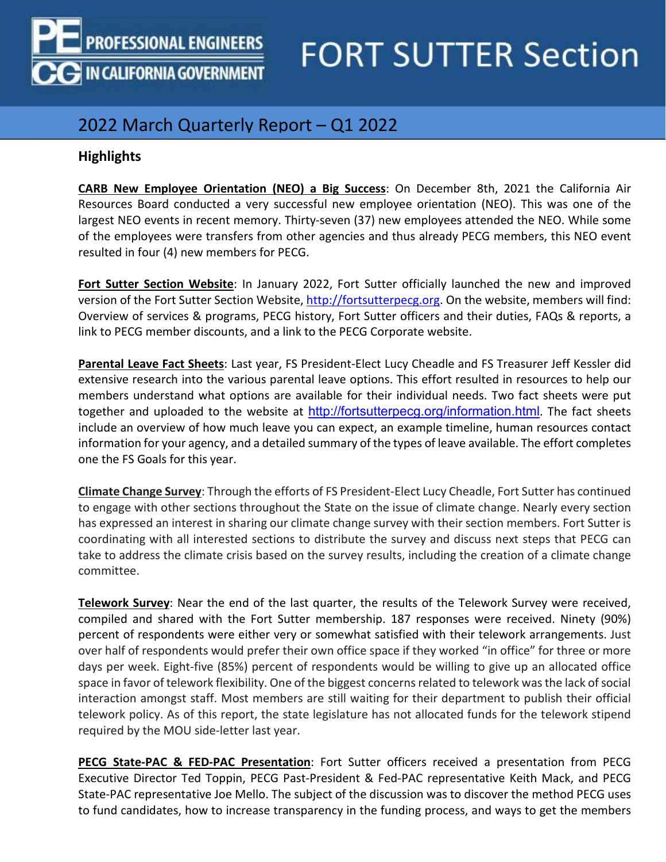

# **FORT SUTTER Section**

### 2022 March Quarterly Report – Q1 2022

### **Highlights**

**CARB New Employee Orientation (NEO) a Big Success**: On December 8th, 2021 the California Air Resources Board conducted a very successful new employee orientation (NEO). This was one of the largest NEO events in recent memory. Thirty-seven (37) new employees attended the NEO. While some of the employees were transfers from other agencies and thus already PECG members, this NEO event resulted in four (4) new members for PECG.

**Fort Sutter Section Website**: In January 2022, Fort Sutter officially launched the new and improved version of the Fort Sutter Section Website[, http://fortsutterpecg.org.](http://fortsutterpecg.org/) On the website, members will find: Overview of services & programs, PECG history, Fort Sutter officers and their duties, FAQs & reports, a link to PECG member discounts, and a link to the PECG Corporate website.

**Parental Leave Fact Sheets**: Last year, FS President-Elect Lucy Cheadle and FS Treasurer Jeff Kessler did extensive research into the various parental leave options. This effort resulted in resources to help our members understand what options are available for their individual needs. Two fact sheets were put together and uploaded to the website at <http://fortsutterpecg.org/information.html>. The fact sheets include an overview of how much leave you can expect, an example timeline, human resources contact information for your agency, and a detailed summary of the types of leave available. The effort completes one the FS Goals for this year.

**Climate Change Survey**: Through the efforts of FS President-Elect Lucy Cheadle, Fort Sutter has continued to engage with other sections throughout the State on the issue of climate change. Nearly every section has expressed an interest in sharing our climate change survey with their section members. Fort Sutter is coordinating with all interested sections to distribute the survey and discuss next steps that PECG can take to address the climate crisis based on the survey results, including the creation of a climate change committee.

**Telework Survey**: Near the end of the last quarter, the results of the Telework Survey were received, compiled and shared with the Fort Sutter membership. 187 responses were received. Ninety (90%) percent of respondents were either very or somewhat satisfied with their telework arrangements. Just over half of respondents would prefer their own office space if they worked "in office" for three or more days per week. Eight-five (85%) percent of respondents would be willing to give up an allocated office space in favor of telework flexibility. One of the biggest concerns related to telework was the lack of social interaction amongst staff. Most members are still waiting for their department to publish their official telework policy. As of this report, the state legislature has not allocated funds for the telework stipend required by the MOU side-letter last year.

**PECG State-PAC & FED-PAC Presentation**: Fort Sutter officers received a presentation from PECG Executive Director Ted Toppin, PECG Past-President & Fed-PAC representative Keith Mack, and PECG State-PAC representative Joe Mello. The subject of the discussion was to discover the method PECG uses to fund candidates, how to increase transparency in the funding process, and ways to get the members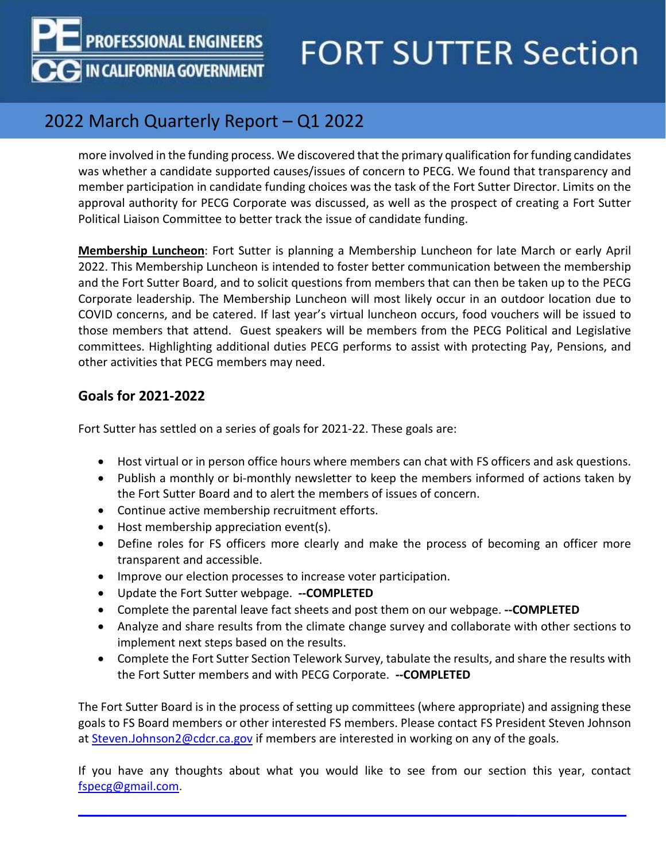**PROFESSIONAL ENGINEERS** 

**G IN CALIFORNIA GOVERNMENT** 

# **FORT SUTTER Section**

### 2022 March Quarterly Report – Q1 2022

more involved in the funding process. We discovered that the primary qualification for funding candidates was whether a candidate supported causes/issues of concern to PECG. We found that transparency and member participation in candidate funding choices was the task of the Fort Sutter Director. Limits on the approval authority for PECG Corporate was discussed, as well as the prospect of creating a Fort Sutter Political Liaison Committee to better track the issue of candidate funding.

**Membership Luncheon**: Fort Sutter is planning a Membership Luncheon for late March or early April 2022. This Membership Luncheon is intended to foster better communication between the membership and the Fort Sutter Board, and to solicit questions from members that can then be taken up to the PECG Corporate leadership. The Membership Luncheon will most likely occur in an outdoor location due to COVID concerns, and be catered. If last year's virtual luncheon occurs, food vouchers will be issued to those members that attend. Guest speakers will be members from the PECG Political and Legislative committees. Highlighting additional duties PECG performs to assist with protecting Pay, Pensions, and other activities that PECG members may need.

#### **Goals for 2021-2022**

Fort Sutter has settled on a series of goals for 2021-22. These goals are:

- Host virtual or in person office hours where members can chat with FS officers and ask questions.
- Publish a monthly or bi-monthly newsletter to keep the members informed of actions taken by the Fort Sutter Board and to alert the members of issues of concern.
- Continue active membership recruitment efforts.
- Host membership appreciation event(s).
- Define roles for FS officers more clearly and make the process of becoming an officer more transparent and accessible.
- Improve our election processes to increase voter participation.
- Update the Fort Sutter webpage. **--COMPLETED**
- Complete the parental leave fact sheets and post them on our webpage. **--COMPLETED**
- Analyze and share results from the climate change survey and collaborate with other sections to implement next steps based on the results.
- Complete the Fort Sutter Section Telework Survey, tabulate the results, and share the results with the Fort Sutter members and with PECG Corporate. **--COMPLETED**

The Fort Sutter Board is in the process of setting up committees (where appropriate) and assigning these goals to FS Board members or other interested FS members. Please contact FS President Steven Johnson at [Steven.Johnson2@cdcr.ca.gov](mailto:Steven.Johnson2@cdcr.ca.gov) if members are interested in working on any of the goals.

If you have any thoughts about what you would like to see from our section this year, contact [fspecg@gmail.com.](mailto:fspecg@gmail.com)

 $\mathcal{L}_\text{max}$  and  $\mathcal{L}_\text{max}$  and  $\mathcal{L}_\text{max}$  and  $\mathcal{L}_\text{max}$  and  $\mathcal{L}_\text{max}$  and  $\mathcal{L}_\text{max}$